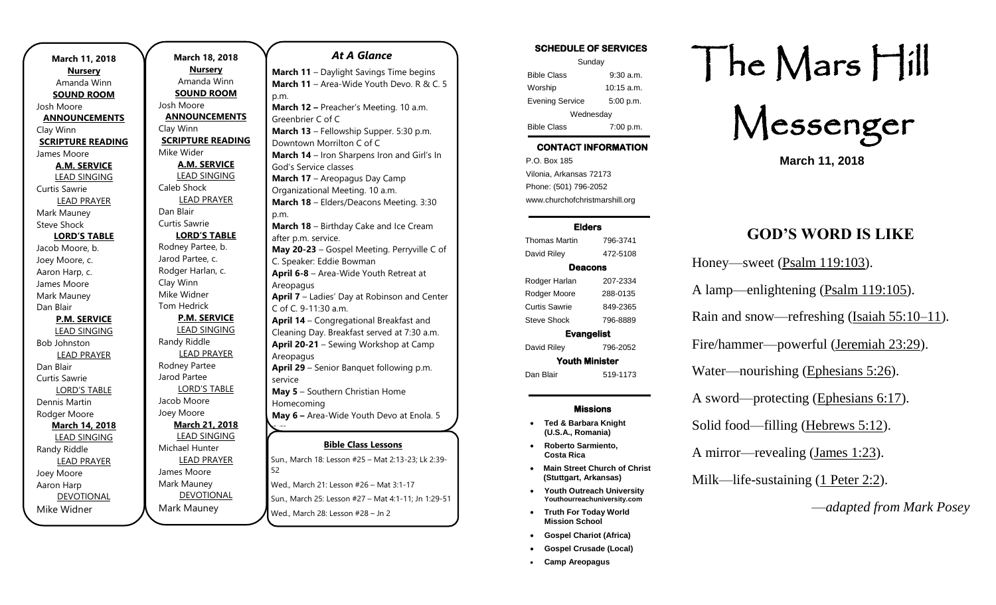| March 11, 2018           |  |
|--------------------------|--|
| <b>Nursery</b>           |  |
| Amanda Winn              |  |
| <b>SOUND ROOM</b>        |  |
| Josh Moore               |  |
| <b>ANNOUNCEMENTS</b>     |  |
| Clay Winn                |  |
| <b>SCRIPTURE READING</b> |  |
| James Moore              |  |
| <b>A.M. SERVICE</b>      |  |
| <b>LEAD SINGING</b>      |  |
| <b>Curtis Sawrie</b>     |  |
| <b>LEAD PRAYER</b>       |  |
| Mark Mauney              |  |
| <b>Steve Shock</b>       |  |
| <b>LORD'S TABLE</b>      |  |
| Jacob Moore, b.          |  |
| Joey Moore, c.           |  |
| Aaron Harp, c.           |  |
| James Moore              |  |
| Mark Mauney              |  |
| Dan Blair                |  |
| <b>P.M. SERVICE</b>      |  |
| <b>LEAD SINGING</b>      |  |
| <b>Bob Johnston</b>      |  |
| <b>LEAD PRAYER</b>       |  |
| Dan Blair                |  |
| <b>Curtis Sawrie</b>     |  |
| <b>LORD'S TABLE</b>      |  |
| Dennis Martin            |  |
| Rodger Moore             |  |
| <b>March 14, 2018</b>    |  |
| <b>LEAD SINGING</b>      |  |
| Randy Riddle             |  |
| <b>LEAD PRAYER</b>       |  |
| Joey Moore               |  |
| Aaron Harp               |  |
| <b>DEVOTIONAL</b>        |  |
| Mike Widner              |  |

**March 18, 2018 Nursery** Amanda Winn **SOUND ROOM** Josh Moore **ANNOUNCEMENTS** Clay Winn **SCRIPTURE READING** Mike Wider **A.M. SERVICE** LEAD SINGING Caleb Shock LEAD PRAYER Dan Blair Curtis Sawrie **LORD'S TABLE** Rodney Partee, b. Jarod Partee, c. Rodger Harlan, c. Clay Winn Mike Widner Tom Hedrick **P.M. SERVICE** LEAD SINGING Randy Riddle LEAD PRAYER Rodney Partee Jarod Partee LORD'S TABLE Jacob Moore Joey Moore **March 21, 2018** LEAD SINGING Michael Hunter LEAD PRAYER James Moore Mark Mauney DEVOTIONAL Mark Mauney 52 Wed., March 28: Lesson #28 – Jn 2 p.m. p.m. Areopagus Areopagus service Homecoming p.m.

### **Bible Class Lessons** Sun., March 18: Lesson #25 – Mat 2:13-23; Lk 2:39- Wed., March 21: Lesson #26 – Mat 3:1-17 Sun., March 25: Lesson #27 - Mat 4:1-11; Jn 1:29-51 **March 11** – Daylight Savings Time begins **March 11** – Area-Wide Youth Devo. R & C. 5 **March 12 –** Preacher's Meeting. 10 a.m. Greenbrier C of C **March 13** – Fellowship Supper. 5:30 p.m. Downtown Morrilton C of C **March 14** – Iron Sharpens Iron and Girl's In God's Service classes **March 17** – Areopagus Day Camp Organizational Meeting. 10 a.m. **March 18** – Elders/Deacons Meeting. 3:30 **March 18** – Birthday Cake and Ice Cream after p.m. service. **May 20-23** – Gospel Meeting. Perryville C of C. Speaker: Eddie Bowman **April 6-8** – Area-Wide Youth Retreat at **April 7** – Ladies' Day at Robinson and Center C of C. 9-11:30 a.m. **April 14** – Congregational Breakfast and Cleaning Day. Breakfast served at 7:30 a.m. **April 20-21** – Sewing Workshop at Camp **April 29** – Senior Banquet following p.m. **May 5** – Southern Christian Home **May 6 –** Area-Wide Youth Devo at Enola. 5 **June 10-16** – Areopagus High School Session

*At A Glance* 

SCHEDULE OF SERVICES

| Sunday                 |              |  |
|------------------------|--------------|--|
| <b>Bible Class</b>     | $9:30$ a.m.  |  |
| Worship                | $10:15$ a.m. |  |
| <b>Evening Service</b> | 5:00 p.m.    |  |
| Wednesday              |              |  |
| <b>Bible Class</b>     | 7:00 p.m.    |  |

# CONTACT INFORMATION

. .o. Box 166<br>Vilonia, Arkansas 72173 P.O. Box 185 Phone: (501) 796-2052 www.churchofchristmarshill.org

#### Elders Thomas Martin 796-3741 David Riley 472-5108 Deacons Rodger Harlan 207-2334 Rodger Moore 288-0135 Curtis Sawrie 849-2365 Steve Shock 796-8889 Evangelist David Riley 796-2052

Youth Minister Dan Blair 519-1173

#### Missions

- **Ted & Barbara Knight (U.S.A., Romania)**
- **Roberto Sarmiento, Costa Rica**
- **Main Street Church of Christ (Stuttgart, Arkansas)**
- **Youth Outreach University Youthourreachuniversity.com**
- **Truth For Today World Mission School**
- **Gospel Chariot (Africa)**
- **Gospel Crusade (Local)**
- **Camp Areopagus**

# The Mars Hill

Messenger

**March 11, 2018**

# **GOD'S WORD IS LIKE**

Honey—sweet [\(Psalm 119:103\)](https://biblia.com/bible/kjv1900/Ps%20119.103).

A lamp—enlightening [\(Psalm 119:105\)](https://biblia.com/bible/kjv1900/Ps%20119.105).

Rain and snow—refreshing [\(Isaiah 55:10–11\)](https://biblia.com/bible/kjv1900/Isa%2055.10%E2%80%9311).

Fire/hammer—powerful [\(Jeremiah 23:29\)](https://biblia.com/bible/kjv1900/Jer%2023.29).

Water—nourishing [\(Ephesians 5:26\)](https://biblia.com/bible/kjv1900/Eph%205.26).

A sword—protecting [\(Ephesians 6:17\)](https://biblia.com/bible/kjv1900/Eph%206.17).

Solid food—filling [\(Hebrews 5:12\)](https://biblia.com/bible/kjv1900/Heb%205.12).

A mirror—revealing [\(James 1:23\)](https://biblia.com/bible/kjv1900/James%201.23).

Milk—life-sustaining [\(1 Peter 2:2\)](https://biblia.com/bible/kjv1900/1%20Pet%202.2).

—*adapted from Mark Posey*